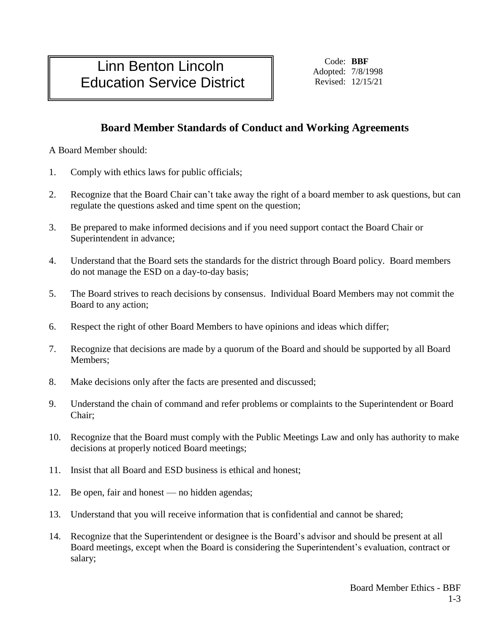## Linn Benton Lincoln Education Service District

Code: **BBF** Adopted: 7/8/1998 Revised: 12/15/21

## **Board Member Standards of Conduct and Working Agreements**

A Board Member should:

- 1. Comply with ethics laws for public officials;
- 2. Recognize that the Board Chair can't take away the right of a board member to ask questions, but can regulate the questions asked and time spent on the question;
- 3. Be prepared to make informed decisions and if you need support contact the Board Chair or Superintendent in advance;
- 4. Understand that the Board sets the standards for the district through Board policy. Board members do not manage the ESD on a day-to-day basis;
- 5. The Board strives to reach decisions by consensus. Individual Board Members may not commit the Board to any action;
- 6. Respect the right of other Board Members to have opinions and ideas which differ;
- 7. Recognize that decisions are made by a quorum of the Board and should be supported by all Board Members;
- 8. Make decisions only after the facts are presented and discussed;
- 9. Understand the chain of command and refer problems or complaints to the Superintendent or Board Chair;
- 10. Recognize that the Board must comply with the Public Meetings Law and only has authority to make decisions at properly noticed Board meetings;
- 11. Insist that all Board and ESD business is ethical and honest;
- 12. Be open, fair and honest no hidden agendas;
- 13. Understand that you will receive information that is confidential and cannot be shared;
- 14. Recognize that the Superintendent or designee is the Board's advisor and should be present at all Board meetings, except when the Board is considering the Superintendent's evaluation, contract or salary;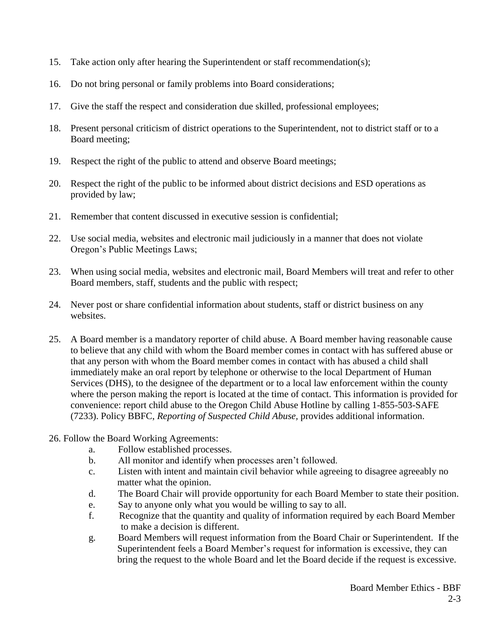- 15. Take action only after hearing the Superintendent or staff recommendation(s);
- 16. Do not bring personal or family problems into Board considerations;
- 17. Give the staff the respect and consideration due skilled, professional employees;
- 18. Present personal criticism of district operations to the Superintendent, not to district staff or to a Board meeting;
- 19. Respect the right of the public to attend and observe Board meetings;
- 20. Respect the right of the public to be informed about district decisions and ESD operations as provided by law;
- 21. Remember that content discussed in executive session is confidential;
- 22. Use social media, websites and electronic mail judiciously in a manner that does not violate Oregon's Public Meetings Laws;
- 23. When using social media, websites and electronic mail, Board Members will treat and refer to other Board members, staff, students and the public with respect;
- 24. Never post or share confidential information about students, staff or district business on any websites.
- 25. A Board member is a mandatory reporter of child abuse. A Board member having reasonable cause to believe that any child with whom the Board member comes in contact with has suffered abuse or that any person with whom the Board member comes in contact with has abused a child shall immediately make an oral report by telephone or otherwise to the local Department of Human Services (DHS), to the designee of the department or to a local law enforcement within the county where the person making the report is located at the time of contact. This information is provided for convenience: report child abuse to the Oregon Child Abuse Hotline by calling 1-855-503-SAFE (7233). Policy BBFC, *Reporting of Suspected Child Abuse,* provides additional information.
- 26. Follow the Board Working Agreements:
	- a. Follow established processes.
	- b. All monitor and identify when processes aren't followed.
	- c. Listen with intent and maintain civil behavior while agreeing to disagree agreeably no matter what the opinion.
	- d. The Board Chair will provide opportunity for each Board Member to state their position.
	- e. Say to anyone only what you would be willing to say to all.
	- f. Recognize that the quantity and quality of information required by each Board Member to make a decision is different.
	- g. Board Members will request information from the Board Chair or Superintendent. If the Superintendent feels a Board Member's request for information is excessive, they can bring the request to the whole Board and let the Board decide if the request is excessive.